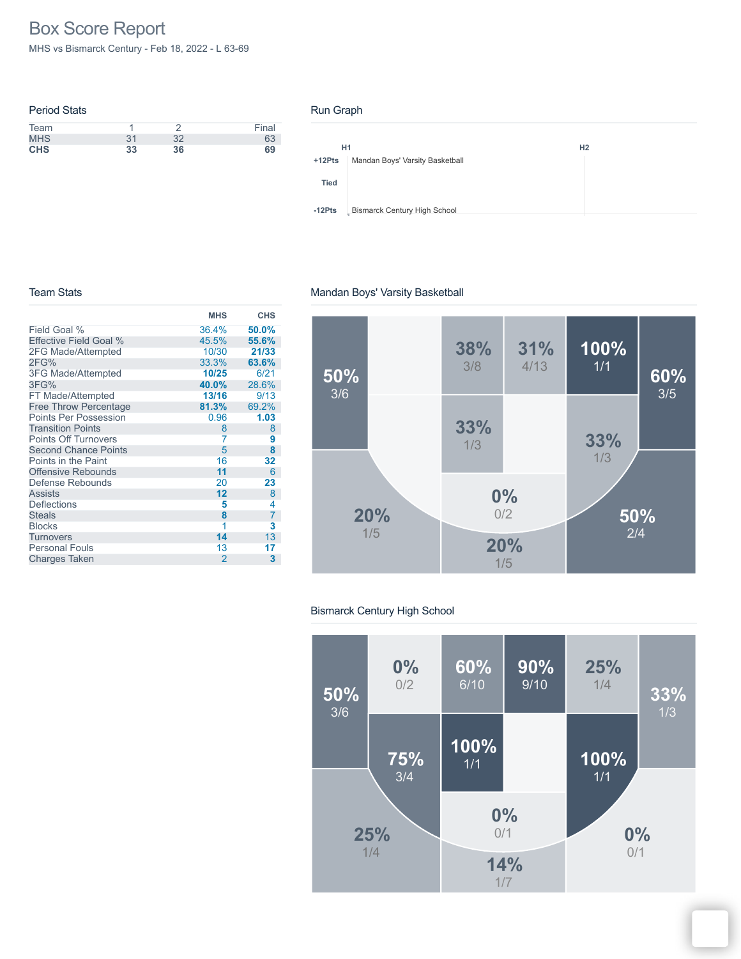# Box Score Report

MHS vs Bismarck Century - Feb 18, 2022 - L 63-69

| <b>Period Stats</b> |    |    |       |
|---------------------|----|----|-------|
| Team                |    |    | Final |
| <b>MHS</b>          | 31 | 32 | 63    |
| <b>CHS</b>          | 33 | 36 | 69    |

#### Run Graph



#### Team Stats

#### **MHS CHS** Field Goal % Effective Field Goal % 2FG Made/Attempted 2FG% 3FG Made/Attempted 3FG% FT Made/Attempted Free Throw Percentage Points Per Possession Transition Points Points Off Turnovers Second Chance Points Points in the Paint Offensive Rebounds Defense Rebounds Assists **Deflections Steals** Blocks **Turnovers** Personal Fouls Charges Taken 36.4% **50.0%** 45.5% **55.6%** 10/30 **21/33** 33.3% **63.6%** 10/25<br>**40.0% 40.0%** 28.6% 13/16<br>81.3% **89.2%**<br>0.96 **1.03** 0.96 **1.03** 8 8<br>7 9 7 **9**  $\begin{array}{ccc} 5 & & 8 \\ 16 & & 32 \end{array}$ 16 **32** 11 6<br>20 **23** 20 **23 12** 8  $\begin{array}{ccc} 5 & & 4 \\ 8 & & 7 \end{array}$ **8** 7  $\begin{array}{ccc} 1 & 3 \\ 14 & 13 \end{array}$ 14 13<br>13 17 13 **17** 2 **3**

#### **50%** 2/4 **33%** 1/3 **38%** 3/8 **60%** 3/5 **20%** 1/5 **20%** 1/5 **100%** 1/1 **33%** 1/3 **0%** 0/2 **31%** 4/13 **50%** 3/6

#### Bismarck Century High School

Mandan Boys' Varsity Basketball